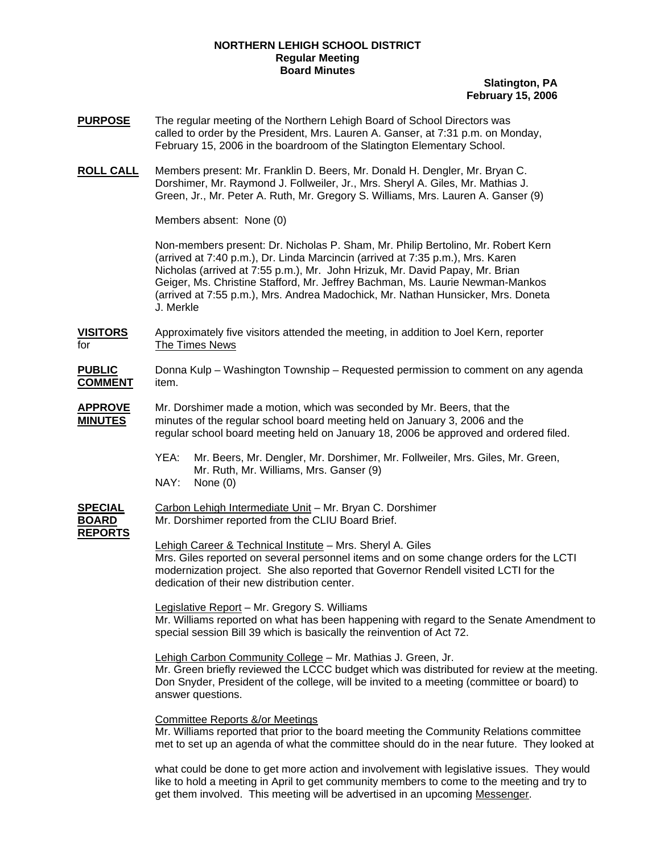## **NORTHERN LEHIGH SCHOOL DISTRICT Regular Meeting Board Minutes**

## **Slatington, PA February 15, 2006**

- **PURPOSE** The regular meeting of the Northern Lehigh Board of School Directors was called to order by the President, Mrs. Lauren A. Ganser, at 7:31 p.m. on Monday, February 15, 2006 in the boardroom of the Slatington Elementary School.
- **ROLL CALL** Members present: Mr. Franklin D. Beers, Mr. Donald H. Dengler, Mr. Bryan C. Dorshimer, Mr. Raymond J. Follweiler, Jr., Mrs. Sheryl A. Giles, Mr. Mathias J. Green, Jr., Mr. Peter A. Ruth, Mr. Gregory S. Williams, Mrs. Lauren A. Ganser (9)

Members absent: None (0)

Non-members present: Dr. Nicholas P. Sham, Mr. Philip Bertolino, Mr. Robert Kern (arrived at 7:40 p.m.), Dr. Linda Marcincin (arrived at 7:35 p.m.), Mrs. Karen Nicholas (arrived at 7:55 p.m.), Mr. John Hrizuk, Mr. David Papay, Mr. Brian Geiger, Ms. Christine Stafford, Mr. Jeffrey Bachman, Ms. Laurie Newman-Mankos (arrived at 7:55 p.m.), Mrs. Andrea Madochick, Mr. Nathan Hunsicker, Mrs. Doneta J. Merkle

**VISITORS** Approximately five visitors attended the meeting, in addition to Joel Kern, reporter for The Times News

**PUBLIC** Donna Kulp – Washington Township – Requested permission to comment on any agenda **COMMENT** item.

### **APPROVE** Mr. Dorshimer made a motion, which was seconded by Mr. Beers, that the **MINUTES** minutes of the regular school board meeting held on January 3, 2006 and the regular school board meeting held on January 18, 2006 be approved and ordered filed.

 YEA: Mr. Beers, Mr. Dengler, Mr. Dorshimer, Mr. Follweiler, Mrs. Giles, Mr. Green, Mr. Ruth, Mr. Williams, Mrs. Ganser (9) NAY: None (0)

| SPECIAL        | Carbon Lehigh Intermediate Unit – Mr. Bryan C. Dorshimer |  |
|----------------|----------------------------------------------------------|--|
| <b>BOARD</b>   | Mr. Dorshimer reported from the CLIU Board Brief.        |  |
| <b>REPORTS</b> | Lebieb Coreer 8 Technical Institute Mrs Chemil A. Ciles  |  |

Lehigh Career & Technical Institute – Mrs. Sheryl A. Giles Mrs. Giles reported on several personnel items and on some change orders for the LCTI modernization project. She also reported that Governor Rendell visited LCTI for the dedication of their new distribution center.

Legislative Report – Mr. Gregory S. Williams Mr. Williams reported on what has been happening with regard to the Senate Amendment to special session Bill 39 which is basically the reinvention of Act 72.

Lehigh Carbon Community College – Mr. Mathias J. Green, Jr. Mr. Green briefly reviewed the LCCC budget which was distributed for review at the meeting. Don Snyder, President of the college, will be invited to a meeting (committee or board) to answer questions.

## Committee Reports &/or Meetings

Mr. Williams reported that prior to the board meeting the Community Relations committee met to set up an agenda of what the committee should do in the near future. They looked at

what could be done to get more action and involvement with legislative issues. They would like to hold a meeting in April to get community members to come to the meeting and try to get them involved. This meeting will be advertised in an upcoming Messenger.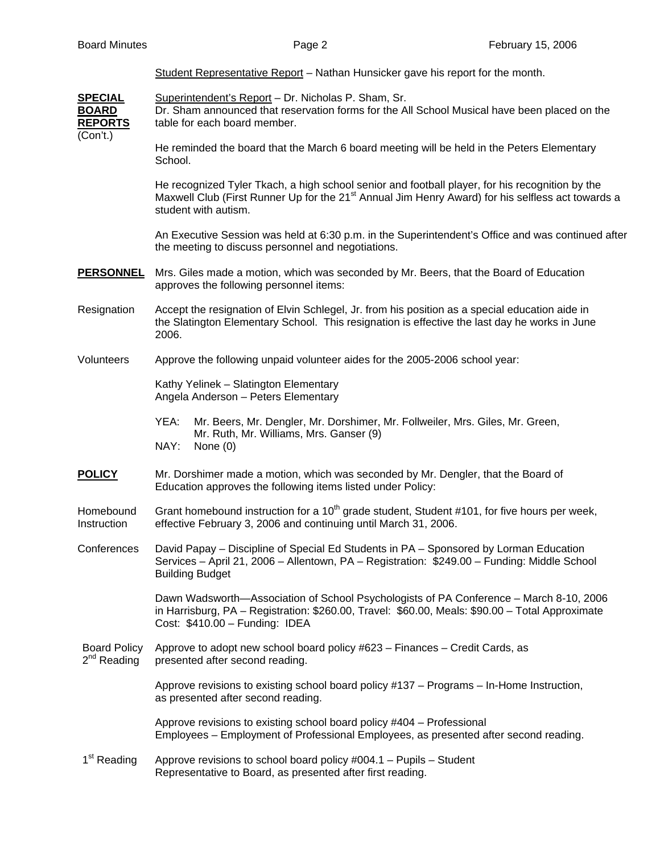|  | Student Representative Report – Nathan Hunsicker gave his report for the month. |  |  |  |
|--|---------------------------------------------------------------------------------|--|--|--|
|  |                                                                                 |  |  |  |

SPECIAL Superintendent's Report - Dr. Nicholas P. Sham, Sr. **BOARD** Dr. Sham announced that reservation forms for the All School Musical have been placed on the **REPORTS** table for each board member. (Con't.)

> He reminded the board that the March 6 board meeting will be held in the Peters Elementary School.

 He recognized Tyler Tkach, a high school senior and football player, for his recognition by the Maxwell Club (First Runner Up for the 21 $^{\text{st}}$  Annual Jim Henry Award) for his selfless act towards a student with autism.

 An Executive Session was held at 6:30 p.m. in the Superintendent's Office and was continued after the meeting to discuss personnel and negotiations.

- **PERSONNEL** Mrs. Giles made a motion, which was seconded by Mr. Beers, that the Board of Education approves the following personnel items:
- Resignation Accept the resignation of Elvin Schlegel, Jr. from his position as a special education aide in the Slatington Elementary School. This resignation is effective the last day he works in June 2006.
- Volunteers Approve the following unpaid volunteer aides for the 2005-2006 school year:

 Kathy Yelinek – Slatington Elementary Angela Anderson – Peters Elementary

- YEA: Mr. Beers, Mr. Dengler, Mr. Dorshimer, Mr. Follweiler, Mrs. Giles, Mr. Green, Mr. Ruth, Mr. Williams, Mrs. Ganser (9) NAY: None (0)
- **POLICY** Mr. Dorshimer made a motion, which was seconded by Mr. Dengler, that the Board of Education approves the following items listed under Policy:

Homebound Grant homebound instruction for a  $10<sup>th</sup>$  grade student, Student #101, for five hours per week, Instruction effective February 3, 2006 and continuing until March 31, 2006.

Conferences David Papay – Discipline of Special Ed Students in PA – Sponsored by Lorman Education Services – April 21, 2006 – Allentown, PA – Registration: \$249.00 – Funding: Middle School Building Budget

> Dawn Wadsworth—Association of School Psychologists of PA Conference – March 8-10, 2006 in Harrisburg, PA – Registration: \$260.00, Travel: \$60.00, Meals: \$90.00 – Total Approximate Cost: \$410.00 – Funding: IDEA

Board Policy Approve to adopt new school board policy #623 – Finances – Credit Cards, as  $2^{nd}$  Reading presented after second reading. presented after second reading.

> Approve revisions to existing school board policy #137 – Programs – In-Home Instruction, as presented after second reading.

> Approve revisions to existing school board policy #404 – Professional Employees – Employment of Professional Employees, as presented after second reading.

 $1<sup>st</sup>$  Reading Approve revisions to school board policy #004.1 – Pupils – Student Representative to Board, as presented after first reading.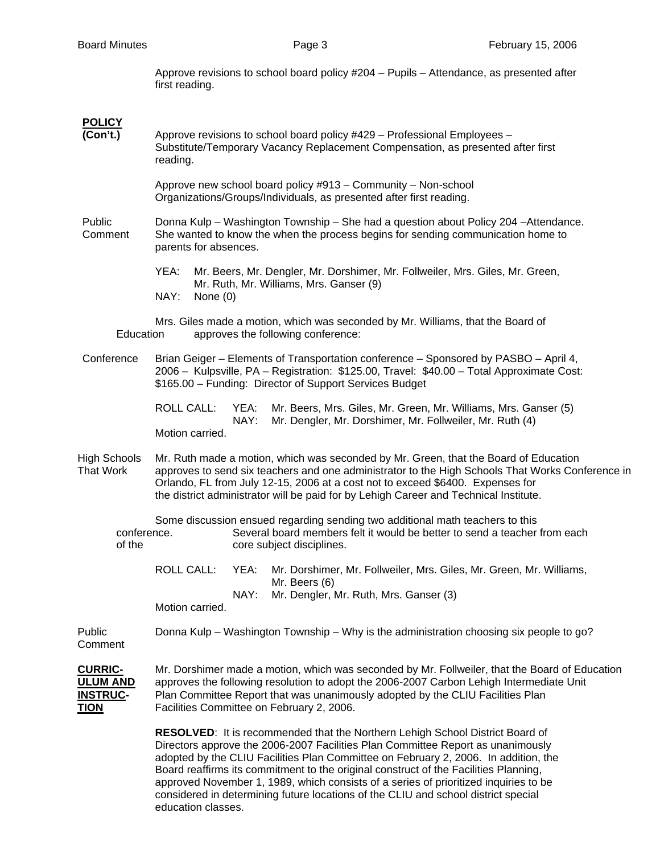Approve revisions to school board policy #204 – Pupils – Attendance, as presented after first reading.

# **POLICY**

**(Con't.)** Approve revisions to school board policy #429 – Professional Employees – Substitute/Temporary Vacancy Replacement Compensation, as presented after first reading.

> Approve new school board policy #913 – Community – Non-school Organizations/Groups/Individuals, as presented after first reading.

Public Donna Kulp – Washington Township – She had a question about Policy 204 –Attendance. Comment She wanted to know the when the process begins for sending communication home to parents for absences.

> YEA: Mr. Beers, Mr. Dengler, Mr. Dorshimer, Mr. Follweiler, Mrs. Giles, Mr. Green, Mr. Ruth, Mr. Williams, Mrs. Ganser (9) NAY: None (0)

 Mrs. Giles made a motion, which was seconded by Mr. Williams, that the Board of Education approves the following conference:

Conference Brian Geiger – Elements of Transportation conference – Sponsored by PASBO – April 4, 2006 – Kulpsville, PA – Registration: \$125.00, Travel: \$40.00 – Total Approximate Cost: \$165.00 – Funding: Director of Support Services Budget

> ROLL CALL: YEA: Mr. Beers, Mrs. Giles, Mr. Green, Mr. Williams, Mrs. Ganser (5) NAY: Mr. Dengler, Mr. Dorshimer, Mr. Follweiler, Mr. Ruth (4) Motion carried.

High Schools Mr. Ruth made a motion, which was seconded by Mr. Green, that the Board of Education That Work approves to send six teachers and one administrator to the High Schools That Works Conference in Orlando, FL from July 12-15, 2006 at a cost not to exceed \$6400. Expenses for the district administrator will be paid for by Lehigh Career and Technical Institute.

 Some discussion ensued regarding sending two additional math teachers to this conference. Several board members felt it would be better to send a teacher from each of the core subject disciplines.

 ROLL CALL: YEA: Mr. Dorshimer, Mr. Follweiler, Mrs. Giles, Mr. Green, Mr. Williams, Mr. Beers (6) NAY: Mr. Dengler, Mr. Ruth, Mrs. Ganser (3)

Motion carried.

Public Donna Kulp – Washington Township – Why is the administration choosing six people to go? **Comment** 

**CURRIC-** Mr. Dorshimer made a motion, which was seconded by Mr. Follweiler, that the Board of Education **ULUM AND** approves the following resolution to adopt the 2006-2007 Carbon Lehigh Intermediate Unit **INSTRUC-** Plan Committee Report that was unanimously adopted by the CLIU Facilities Plan **TION** Facilities Committee on February 2, 2006.

> **RESOLVED**: It is recommended that the Northern Lehigh School District Board of Directors approve the 2006-2007 Facilities Plan Committee Report as unanimously adopted by the CLIU Facilities Plan Committee on February 2, 2006. In addition, the Board reaffirms its commitment to the original construct of the Facilities Planning, approved November 1, 1989, which consists of a series of prioritized inquiries to be considered in determining future locations of the CLIU and school district special education classes.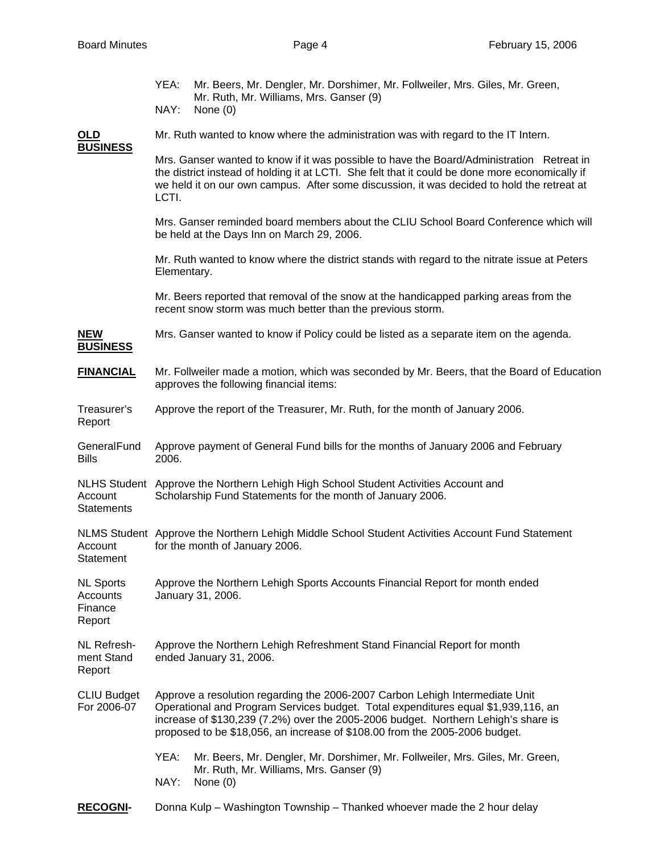|                                                   | YEA:<br>Mr. Beers, Mr. Dengler, Mr. Dorshimer, Mr. Follweiler, Mrs. Giles, Mr. Green,                                                                                                                                                                                                                                                  |  |  |  |  |  |  |  |
|---------------------------------------------------|----------------------------------------------------------------------------------------------------------------------------------------------------------------------------------------------------------------------------------------------------------------------------------------------------------------------------------------|--|--|--|--|--|--|--|
|                                                   | Mr. Ruth, Mr. Williams, Mrs. Ganser (9)<br>NAY:<br>None $(0)$                                                                                                                                                                                                                                                                          |  |  |  |  |  |  |  |
| <u>OLD</u><br><b>BUSINESS</b>                     | Mr. Ruth wanted to know where the administration was with regard to the IT Intern.                                                                                                                                                                                                                                                     |  |  |  |  |  |  |  |
|                                                   | Mrs. Ganser wanted to know if it was possible to have the Board/Administration Retreat in<br>the district instead of holding it at LCTI. She felt that it could be done more economically if<br>we held it on our own campus. After some discussion, it was decided to hold the retreat at<br>LCTI.                                    |  |  |  |  |  |  |  |
|                                                   | Mrs. Ganser reminded board members about the CLIU School Board Conference which will<br>be held at the Days Inn on March 29, 2006.                                                                                                                                                                                                     |  |  |  |  |  |  |  |
|                                                   | Mr. Ruth wanted to know where the district stands with regard to the nitrate issue at Peters<br>Elementary.                                                                                                                                                                                                                            |  |  |  |  |  |  |  |
|                                                   | Mr. Beers reported that removal of the snow at the handicapped parking areas from the<br>recent snow storm was much better than the previous storm.                                                                                                                                                                                    |  |  |  |  |  |  |  |
| <b>NEW</b><br><b>BUSINESS</b>                     | Mrs. Ganser wanted to know if Policy could be listed as a separate item on the agenda.                                                                                                                                                                                                                                                 |  |  |  |  |  |  |  |
| <b>FINANCIAL</b>                                  | Mr. Follweiler made a motion, which was seconded by Mr. Beers, that the Board of Education<br>approves the following financial items:                                                                                                                                                                                                  |  |  |  |  |  |  |  |
| Treasurer's<br>Report                             | Approve the report of the Treasurer, Mr. Ruth, for the month of January 2006.                                                                                                                                                                                                                                                          |  |  |  |  |  |  |  |
| GeneralFund<br><b>Bills</b>                       | Approve payment of General Fund bills for the months of January 2006 and February<br>2006.                                                                                                                                                                                                                                             |  |  |  |  |  |  |  |
| Account<br><b>Statements</b>                      | NLHS Student Approve the Northern Lehigh High School Student Activities Account and<br>Scholarship Fund Statements for the month of January 2006.                                                                                                                                                                                      |  |  |  |  |  |  |  |
| Account<br>Statement                              | NLMS Student Approve the Northern Lehigh Middle School Student Activities Account Fund Statement<br>for the month of January 2006.                                                                                                                                                                                                     |  |  |  |  |  |  |  |
| <b>NL Sports</b><br>Accounts<br>Finance<br>Report | Approve the Northern Lehigh Sports Accounts Financial Report for month ended<br>January 31, 2006.                                                                                                                                                                                                                                      |  |  |  |  |  |  |  |
| NL Refresh-<br>ment Stand<br>Report               | Approve the Northern Lehigh Refreshment Stand Financial Report for month<br>ended January 31, 2006.                                                                                                                                                                                                                                    |  |  |  |  |  |  |  |
| <b>CLIU Budget</b><br>For 2006-07                 | Approve a resolution regarding the 2006-2007 Carbon Lehigh Intermediate Unit<br>Operational and Program Services budget. Total expenditures equal \$1,939,116, an<br>increase of \$130,239 (7.2%) over the 2005-2006 budget. Northern Lehigh's share is<br>proposed to be \$18,056, an increase of \$108.00 from the 2005-2006 budget. |  |  |  |  |  |  |  |
|                                                   | YEA:<br>Mr. Beers, Mr. Dengler, Mr. Dorshimer, Mr. Follweiler, Mrs. Giles, Mr. Green,<br>Mr. Ruth, Mr. Williams, Mrs. Ganser (9)<br>NAY:<br>None $(0)$                                                                                                                                                                                 |  |  |  |  |  |  |  |
| <b>RECOGNI-</b>                                   | Donna Kulp – Washington Township – Thanked whoever made the 2 hour delay                                                                                                                                                                                                                                                               |  |  |  |  |  |  |  |